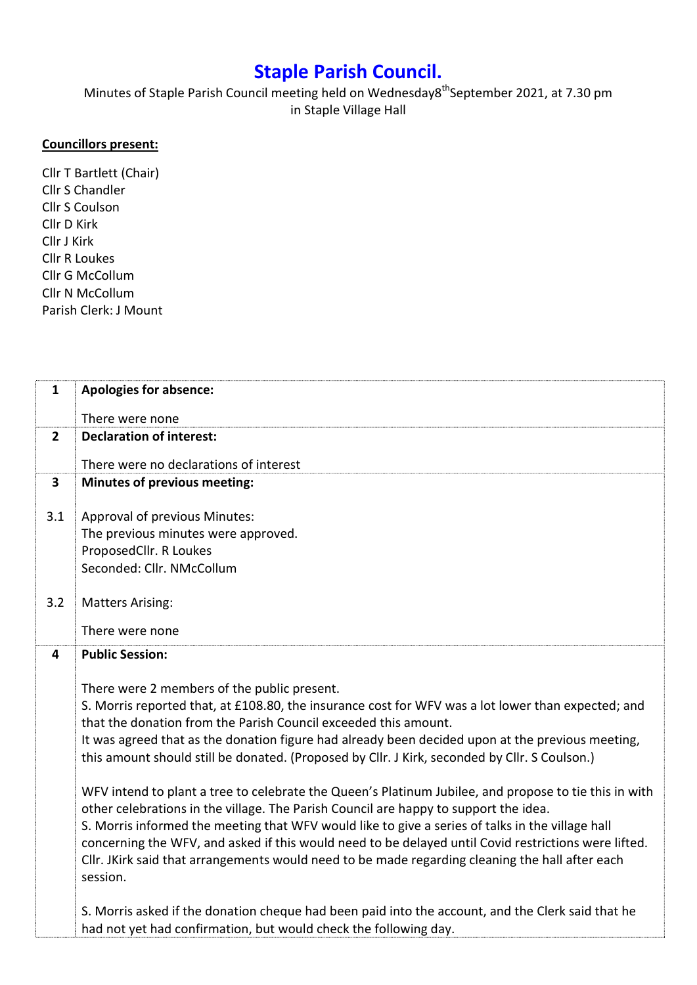## Staple Parish Council.

Minutes of Staple Parish Council meeting held on Wednesday8<sup>th</sup>September 2021, at 7.30 pm in Staple Village Hall

## Councillors present:

Cllr T Bartlett (Chair) Cllr S Chandler Cllr S Coulson Cllr D Kirk Cllr J Kirk Cllr R Loukes Cllr G McCollum Cllr N McCollum Parish Clerk: J Mount

| $\mathbf{1}$            | <b>Apologies for absence:</b>                                                                                                                                                                                                                                                                                                                                                                                                                                                                                                                                                                                                                                                                                                                                                                                                                                                                                                                         |
|-------------------------|-------------------------------------------------------------------------------------------------------------------------------------------------------------------------------------------------------------------------------------------------------------------------------------------------------------------------------------------------------------------------------------------------------------------------------------------------------------------------------------------------------------------------------------------------------------------------------------------------------------------------------------------------------------------------------------------------------------------------------------------------------------------------------------------------------------------------------------------------------------------------------------------------------------------------------------------------------|
|                         | There were none                                                                                                                                                                                                                                                                                                                                                                                                                                                                                                                                                                                                                                                                                                                                                                                                                                                                                                                                       |
| $\overline{2}$          | <b>Declaration of interest:</b>                                                                                                                                                                                                                                                                                                                                                                                                                                                                                                                                                                                                                                                                                                                                                                                                                                                                                                                       |
|                         | There were no declarations of interest                                                                                                                                                                                                                                                                                                                                                                                                                                                                                                                                                                                                                                                                                                                                                                                                                                                                                                                |
| $\overline{\mathbf{3}}$ | <b>Minutes of previous meeting:</b>                                                                                                                                                                                                                                                                                                                                                                                                                                                                                                                                                                                                                                                                                                                                                                                                                                                                                                                   |
| 3.1                     | Approval of previous Minutes:<br>The previous minutes were approved.<br>ProposedCllr. R Loukes<br>Seconded: Cllr. NMcCollum                                                                                                                                                                                                                                                                                                                                                                                                                                                                                                                                                                                                                                                                                                                                                                                                                           |
| 3.2                     | <b>Matters Arising:</b><br>There were none                                                                                                                                                                                                                                                                                                                                                                                                                                                                                                                                                                                                                                                                                                                                                                                                                                                                                                            |
| 4                       | <b>Public Session:</b>                                                                                                                                                                                                                                                                                                                                                                                                                                                                                                                                                                                                                                                                                                                                                                                                                                                                                                                                |
|                         | There were 2 members of the public present.<br>S. Morris reported that, at £108.80, the insurance cost for WFV was a lot lower than expected; and<br>that the donation from the Parish Council exceeded this amount.<br>It was agreed that as the donation figure had already been decided upon at the previous meeting,<br>this amount should still be donated. (Proposed by Cllr. J Kirk, seconded by Cllr. S Coulson.)<br>WFV intend to plant a tree to celebrate the Queen's Platinum Jubilee, and propose to tie this in with<br>other celebrations in the village. The Parish Council are happy to support the idea.<br>S. Morris informed the meeting that WFV would like to give a series of talks in the village hall<br>concerning the WFV, and asked if this would need to be delayed until Covid restrictions were lifted.<br>Cllr. JKirk said that arrangements would need to be made regarding cleaning the hall after each<br>session. |
|                         | S. Morris asked if the donation cheque had been paid into the account, and the Clerk said that he<br>had not yet had confirmation, but would check the following day.                                                                                                                                                                                                                                                                                                                                                                                                                                                                                                                                                                                                                                                                                                                                                                                 |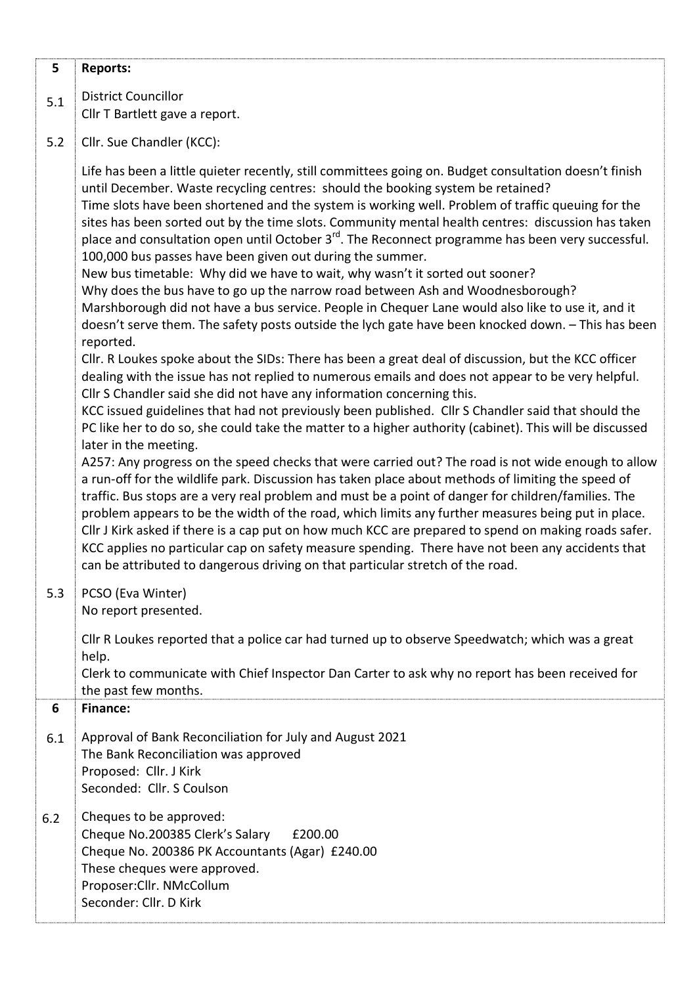| 5   | <b>Reports:</b>                                                                                                                                                                                                                                                                                                                                                                                                                                                                                                                                                                                                                                                                                                                                                                                                                                                                                                                                                                                                                                                                                                                                                                                                                                                                                                                                                                                                                                                                                                                                                                                                                                                                                                                                                                                                                                                                                                                                                                                                                                                                                                                                                                                                                     |
|-----|-------------------------------------------------------------------------------------------------------------------------------------------------------------------------------------------------------------------------------------------------------------------------------------------------------------------------------------------------------------------------------------------------------------------------------------------------------------------------------------------------------------------------------------------------------------------------------------------------------------------------------------------------------------------------------------------------------------------------------------------------------------------------------------------------------------------------------------------------------------------------------------------------------------------------------------------------------------------------------------------------------------------------------------------------------------------------------------------------------------------------------------------------------------------------------------------------------------------------------------------------------------------------------------------------------------------------------------------------------------------------------------------------------------------------------------------------------------------------------------------------------------------------------------------------------------------------------------------------------------------------------------------------------------------------------------------------------------------------------------------------------------------------------------------------------------------------------------------------------------------------------------------------------------------------------------------------------------------------------------------------------------------------------------------------------------------------------------------------------------------------------------------------------------------------------------------------------------------------------------|
| 5.1 | <b>District Councillor</b><br>Cllr T Bartlett gave a report.                                                                                                                                                                                                                                                                                                                                                                                                                                                                                                                                                                                                                                                                                                                                                                                                                                                                                                                                                                                                                                                                                                                                                                                                                                                                                                                                                                                                                                                                                                                                                                                                                                                                                                                                                                                                                                                                                                                                                                                                                                                                                                                                                                        |
| 5.2 | Cllr. Sue Chandler (KCC):                                                                                                                                                                                                                                                                                                                                                                                                                                                                                                                                                                                                                                                                                                                                                                                                                                                                                                                                                                                                                                                                                                                                                                                                                                                                                                                                                                                                                                                                                                                                                                                                                                                                                                                                                                                                                                                                                                                                                                                                                                                                                                                                                                                                           |
|     | Life has been a little quieter recently, still committees going on. Budget consultation doesn't finish<br>until December. Waste recycling centres: should the booking system be retained?<br>Time slots have been shortened and the system is working well. Problem of traffic queuing for the<br>sites has been sorted out by the time slots. Community mental health centres: discussion has taken<br>place and consultation open until October 3 <sup>rd</sup> . The Reconnect programme has been very successful.<br>100,000 bus passes have been given out during the summer.<br>New bus timetable: Why did we have to wait, why wasn't it sorted out sooner?<br>Why does the bus have to go up the narrow road between Ash and Woodnesborough?<br>Marshborough did not have a bus service. People in Chequer Lane would also like to use it, and it<br>doesn't serve them. The safety posts outside the lych gate have been knocked down. - This has been<br>reported.<br>Cllr. R Loukes spoke about the SIDs: There has been a great deal of discussion, but the KCC officer<br>dealing with the issue has not replied to numerous emails and does not appear to be very helpful.<br>Cllr S Chandler said she did not have any information concerning this.<br>KCC issued guidelines that had not previously been published. Cllr S Chandler said that should the<br>PC like her to do so, she could take the matter to a higher authority (cabinet). This will be discussed<br>later in the meeting.<br>A257: Any progress on the speed checks that were carried out? The road is not wide enough to allow<br>a run-off for the wildlife park. Discussion has taken place about methods of limiting the speed of<br>traffic. Bus stops are a very real problem and must be a point of danger for children/families. The<br>problem appears to be the width of the road, which limits any further measures being put in place.<br>Cllr J Kirk asked if there is a cap put on how much KCC are prepared to spend on making roads safer.<br>KCC applies no particular cap on safety measure spending. There have not been any accidents that<br>can be attributed to dangerous driving on that particular stretch of the road. |
| 5.3 | PCSO (Eva Winter)<br>No report presented.                                                                                                                                                                                                                                                                                                                                                                                                                                                                                                                                                                                                                                                                                                                                                                                                                                                                                                                                                                                                                                                                                                                                                                                                                                                                                                                                                                                                                                                                                                                                                                                                                                                                                                                                                                                                                                                                                                                                                                                                                                                                                                                                                                                           |
|     | Cllr R Loukes reported that a police car had turned up to observe Speedwatch; which was a great<br>help.<br>Clerk to communicate with Chief Inspector Dan Carter to ask why no report has been received for<br>the past few months.                                                                                                                                                                                                                                                                                                                                                                                                                                                                                                                                                                                                                                                                                                                                                                                                                                                                                                                                                                                                                                                                                                                                                                                                                                                                                                                                                                                                                                                                                                                                                                                                                                                                                                                                                                                                                                                                                                                                                                                                 |
| 6   | <b>Finance:</b>                                                                                                                                                                                                                                                                                                                                                                                                                                                                                                                                                                                                                                                                                                                                                                                                                                                                                                                                                                                                                                                                                                                                                                                                                                                                                                                                                                                                                                                                                                                                                                                                                                                                                                                                                                                                                                                                                                                                                                                                                                                                                                                                                                                                                     |
| 6.1 | Approval of Bank Reconciliation for July and August 2021<br>The Bank Reconciliation was approved<br>Proposed: Cllr. J Kirk<br>Seconded: Cllr. S Coulson                                                                                                                                                                                                                                                                                                                                                                                                                                                                                                                                                                                                                                                                                                                                                                                                                                                                                                                                                                                                                                                                                                                                                                                                                                                                                                                                                                                                                                                                                                                                                                                                                                                                                                                                                                                                                                                                                                                                                                                                                                                                             |
| 6.2 | Cheques to be approved:<br>Cheque No.200385 Clerk's Salary<br>£200.00<br>Cheque No. 200386 PK Accountants (Agar) £240.00<br>These cheques were approved.<br>Proposer: Cllr. NMcCollum<br>Seconder: Cllr. D Kirk                                                                                                                                                                                                                                                                                                                                                                                                                                                                                                                                                                                                                                                                                                                                                                                                                                                                                                                                                                                                                                                                                                                                                                                                                                                                                                                                                                                                                                                                                                                                                                                                                                                                                                                                                                                                                                                                                                                                                                                                                     |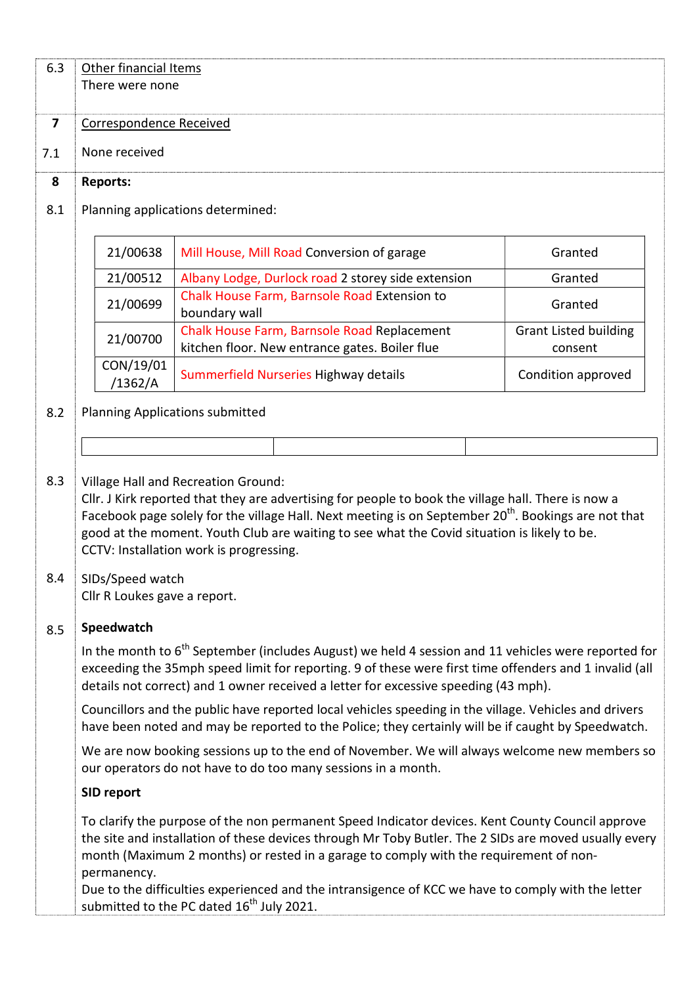| 6.3                     | Other financial Items<br>There were none                                                                                                                                                                                                                                                                                                                                                                        |                                                                                                                                                                                                             |                                         |  |  |
|-------------------------|-----------------------------------------------------------------------------------------------------------------------------------------------------------------------------------------------------------------------------------------------------------------------------------------------------------------------------------------------------------------------------------------------------------------|-------------------------------------------------------------------------------------------------------------------------------------------------------------------------------------------------------------|-----------------------------------------|--|--|
| $\overline{\mathbf{z}}$ | Correspondence Received                                                                                                                                                                                                                                                                                                                                                                                         |                                                                                                                                                                                                             |                                         |  |  |
| 7.1                     | None received                                                                                                                                                                                                                                                                                                                                                                                                   |                                                                                                                                                                                                             |                                         |  |  |
| 8                       | <b>Reports:</b>                                                                                                                                                                                                                                                                                                                                                                                                 |                                                                                                                                                                                                             |                                         |  |  |
| 8.1                     | Planning applications determined:                                                                                                                                                                                                                                                                                                                                                                               |                                                                                                                                                                                                             |                                         |  |  |
|                         | 21/00638                                                                                                                                                                                                                                                                                                                                                                                                        | Mill House, Mill Road Conversion of garage                                                                                                                                                                  | Granted                                 |  |  |
|                         | 21/00512                                                                                                                                                                                                                                                                                                                                                                                                        | Albany Lodge, Durlock road 2 storey side extension                                                                                                                                                          | Granted                                 |  |  |
|                         | 21/00699                                                                                                                                                                                                                                                                                                                                                                                                        | Chalk House Farm, Barnsole Road Extension to<br>boundary wall                                                                                                                                               | Granted                                 |  |  |
|                         | 21/00700                                                                                                                                                                                                                                                                                                                                                                                                        | Chalk House Farm, Barnsole Road Replacement<br>kitchen floor. New entrance gates. Boiler flue                                                                                                               | <b>Grant Listed building</b><br>consent |  |  |
|                         | CON/19/01<br>/1362/A                                                                                                                                                                                                                                                                                                                                                                                            | Summerfield Nurseries Highway details                                                                                                                                                                       | Condition approved                      |  |  |
| 8.2                     | <b>Planning Applications submitted</b>                                                                                                                                                                                                                                                                                                                                                                          |                                                                                                                                                                                                             |                                         |  |  |
|                         |                                                                                                                                                                                                                                                                                                                                                                                                                 |                                                                                                                                                                                                             |                                         |  |  |
| 8.3                     | <b>Village Hall and Recreation Ground:</b><br>Cllr. J Kirk reported that they are advertising for people to book the village hall. There is now a<br>Facebook page solely for the village Hall. Next meeting is on September 20 <sup>th</sup> . Bookings are not that<br>good at the moment. Youth Club are waiting to see what the Covid situation is likely to be.<br>CCTV: Installation work is progressing. |                                                                                                                                                                                                             |                                         |  |  |
| 8.4                     | SIDs/Speed watch<br>Cllr R Loukes gave a report.                                                                                                                                                                                                                                                                                                                                                                |                                                                                                                                                                                                             |                                         |  |  |
| 8.5                     | Speedwatch                                                                                                                                                                                                                                                                                                                                                                                                      |                                                                                                                                                                                                             |                                         |  |  |
|                         | In the month to 6 <sup>th</sup> September (includes August) we held 4 session and 11 vehicles were reported for<br>exceeding the 35mph speed limit for reporting. 9 of these were first time offenders and 1 invalid (all<br>details not correct) and 1 owner received a letter for excessive speeding (43 mph).                                                                                                |                                                                                                                                                                                                             |                                         |  |  |
|                         |                                                                                                                                                                                                                                                                                                                                                                                                                 | Councillors and the public have reported local vehicles speeding in the village. Vehicles and drivers<br>have been noted and may be reported to the Police; they certainly will be if caught by Speedwatch. |                                         |  |  |
|                         |                                                                                                                                                                                                                                                                                                                                                                                                                 | We are now booking sessions up to the end of November. We will always welcome new members so<br>our operators do not have to do too many sessions in a month.                                               |                                         |  |  |
|                         | SID report                                                                                                                                                                                                                                                                                                                                                                                                      |                                                                                                                                                                                                             |                                         |  |  |
|                         | To clarify the purpose of the non permanent Speed Indicator devices. Kent County Council approve<br>the site and installation of these devices through Mr Toby Butler. The 2 SIDs are moved usually every<br>month (Maximum 2 months) or rested in a garage to comply with the requirement of non-                                                                                                              |                                                                                                                                                                                                             |                                         |  |  |
|                         | permanency.                                                                                                                                                                                                                                                                                                                                                                                                     | Due to the difficulties experienced and the intransigence of KCC we have to comply with the letter<br>submitted to the PC dated 16 <sup>th</sup> July 2021.                                                 |                                         |  |  |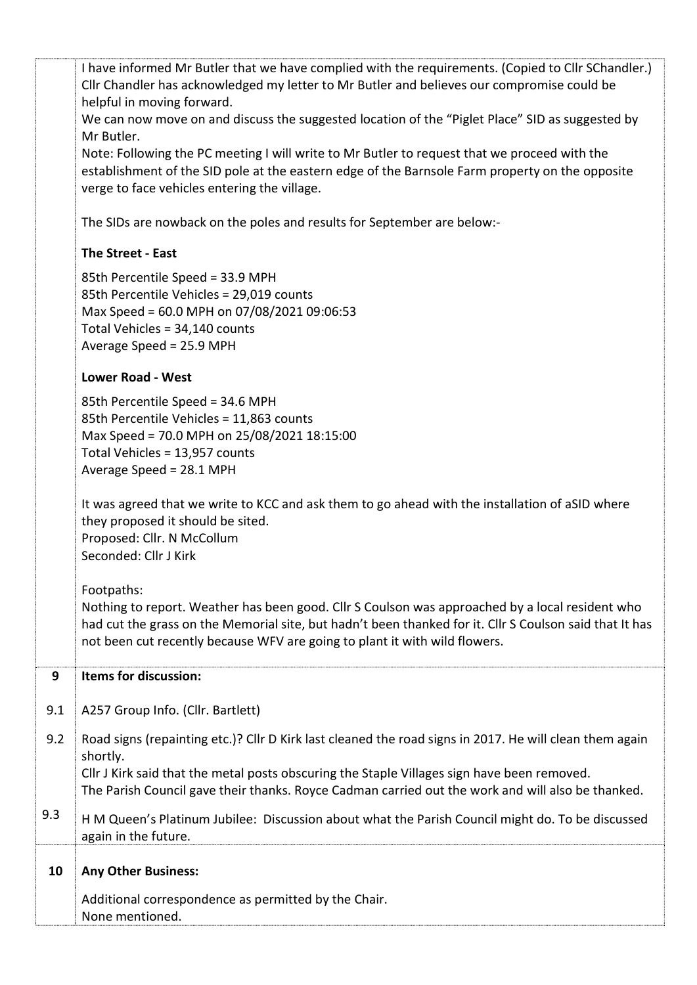|     | I have informed Mr Butler that we have complied with the requirements. (Copied to Cllr SChandler.)<br>Cllr Chandler has acknowledged my letter to Mr Butler and believes our compromise could be<br>helpful in moving forward.                                                                                          |
|-----|-------------------------------------------------------------------------------------------------------------------------------------------------------------------------------------------------------------------------------------------------------------------------------------------------------------------------|
|     | We can now move on and discuss the suggested location of the "Piglet Place" SID as suggested by<br>Mr Butler.                                                                                                                                                                                                           |
|     | Note: Following the PC meeting I will write to Mr Butler to request that we proceed with the<br>establishment of the SID pole at the eastern edge of the Barnsole Farm property on the opposite<br>verge to face vehicles entering the village.                                                                         |
|     | The SIDs are nowback on the poles and results for September are below:-                                                                                                                                                                                                                                                 |
|     | The Street - East                                                                                                                                                                                                                                                                                                       |
|     | 85th Percentile Speed = 33.9 MPH<br>85th Percentile Vehicles = 29,019 counts<br>Max Speed = 60.0 MPH on 07/08/2021 09:06:53<br>Total Vehicles = 34,140 counts<br>Average Speed = 25.9 MPH                                                                                                                               |
|     | <b>Lower Road - West</b>                                                                                                                                                                                                                                                                                                |
|     | 85th Percentile Speed = 34.6 MPH<br>85th Percentile Vehicles = 11,863 counts<br>Max Speed = 70.0 MPH on 25/08/2021 18:15:00<br>Total Vehicles = 13,957 counts<br>Average Speed = 28.1 MPH                                                                                                                               |
|     | It was agreed that we write to KCC and ask them to go ahead with the installation of aSID where<br>they proposed it should be sited.<br>Proposed: Cllr. N McCollum<br>Seconded: Cllr J Kirk                                                                                                                             |
|     | Footpaths:<br>Nothing to report. Weather has been good. Cllr S Coulson was approached by a local resident who<br>had cut the grass on the Memorial site, but hadn't been thanked for it. Cllr S Coulson said that It has<br>not been cut recently because WFV are going to plant it with wild flowers.                  |
| 9   | Items for discussion:                                                                                                                                                                                                                                                                                                   |
| 9.1 | A257 Group Info. (Cllr. Bartlett)                                                                                                                                                                                                                                                                                       |
| 9.2 | Road signs (repainting etc.)? Cllr D Kirk last cleaned the road signs in 2017. He will clean them again<br>shortly.<br>Cllr J Kirk said that the metal posts obscuring the Staple Villages sign have been removed.<br>The Parish Council gave their thanks. Royce Cadman carried out the work and will also be thanked. |
| 9.3 | H M Queen's Platinum Jubilee: Discussion about what the Parish Council might do. To be discussed<br>again in the future.                                                                                                                                                                                                |
| 10  | <b>Any Other Business:</b>                                                                                                                                                                                                                                                                                              |
|     | Additional correspondence as permitted by the Chair.<br>None mentioned.                                                                                                                                                                                                                                                 |
|     |                                                                                                                                                                                                                                                                                                                         |